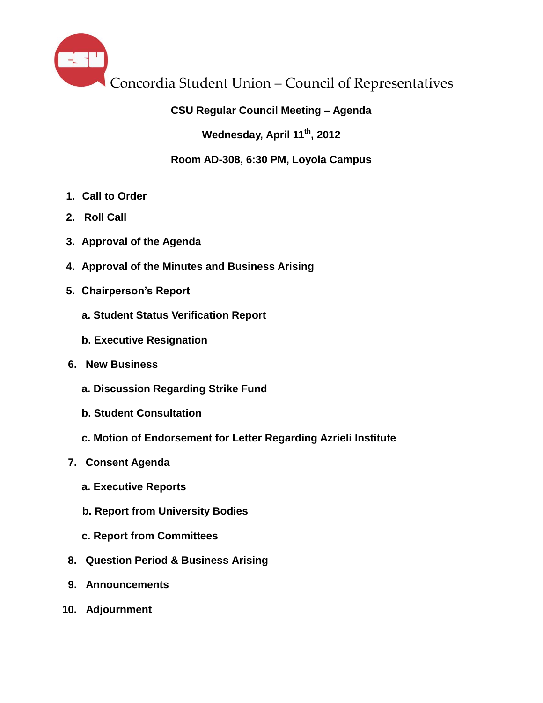

# **CSU Regular Council Meeting – Agenda**

**Wednesday, April 11th , 2012**

# **Room AD-308, 6:30 PM, Loyola Campus**

- **1. Call to Order**
- **2. Roll Call**
- **3. Approval of the Agenda**
- **4. Approval of the Minutes and Business Arising**
- **5. Chairperson's Report** 
	- **a. Student Status Verification Report**
	- **b. Executive Resignation**
- **6. New Business**
	- **a. Discussion Regarding Strike Fund**
	- **b. Student Consultation**
	- **c. Motion of Endorsement for Letter Regarding Azrieli Institute**
- **7. Consent Agenda**
	- **a. Executive Reports**
	- **b. Report from University Bodies**
	- **c. Report from Committees**
- **8. Question Period & Business Arising**
- **9. Announcements**
- **10. Adjournment**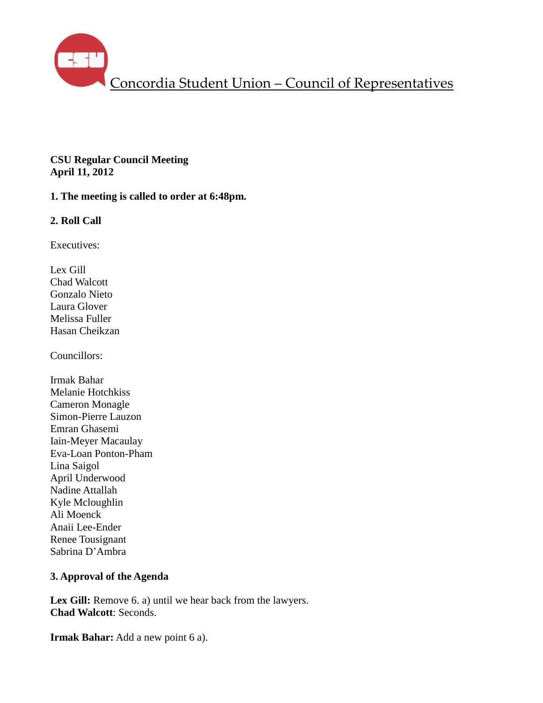

## **CSU Regular Council Meeting April 11, 2012**

# **1. The meeting is called to order at 6:48pm.**

# **2. Roll Call**

Executives:

Lex Gill Chad Walcott Gonzalo Nieto Laura Glover Melissa Fuller Hasan Cheikzan

Councillors:

Irmak Bahar Melanie Hotchkiss Cameron Monagle Simon-Pierre Lauzon Emran Ghasemi Iain-Meyer Macaulay Eva-Loan Ponton-Pham Lina Saigol April Underwood Nadine Attallah Kyle Mcloughlin Ali Moenck Anaii Lee-Ender Renee Tousignant Sabrina D'Ambra

## **3. Approval of the Agenda**

Lex Gill: Remove 6. a) until we hear back from the lawyers. **Chad Walcott**: Seconds.

**Irmak Bahar:** Add a new point 6 a).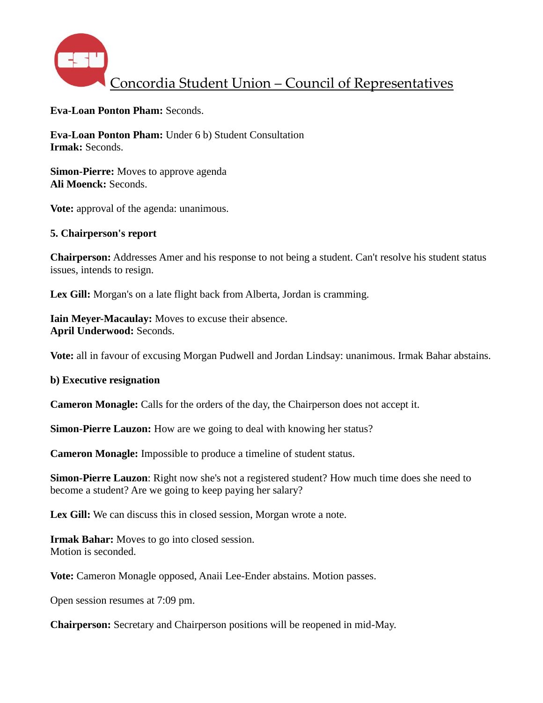

**Eva-Loan Ponton Pham:** Seconds.

**Eva-Loan Ponton Pham:** Under 6 b) Student Consultation **Irmak:** Seconds.

**Simon-Pierre:** Moves to approve agenda **Ali Moenck:** Seconds.

**Vote:** approval of the agenda: unanimous.

### **5. Chairperson's report**

**Chairperson:** Addresses Amer and his response to not being a student. Can't resolve his student status issues, intends to resign.

Lex Gill: Morgan's on a late flight back from Alberta, Jordan is cramming.

**Iain Meyer-Macaulay:** Moves to excuse their absence. **April Underwood:** Seconds.

**Vote:** all in favour of excusing Morgan Pudwell and Jordan Lindsay: unanimous. Irmak Bahar abstains.

#### **b) Executive resignation**

**Cameron Monagle:** Calls for the orders of the day, the Chairperson does not accept it.

**Simon-Pierre Lauzon:** How are we going to deal with knowing her status?

**Cameron Monagle:** Impossible to produce a timeline of student status.

**Simon-Pierre Lauzon**: Right now she's not a registered student? How much time does she need to become a student? Are we going to keep paying her salary?

Lex Gill: We can discuss this in closed session, Morgan wrote a note.

**Irmak Bahar:** Moves to go into closed session. Motion is seconded.

**Vote:** Cameron Monagle opposed, Anaii Lee-Ender abstains. Motion passes.

Open session resumes at 7:09 pm.

**Chairperson:** Secretary and Chairperson positions will be reopened in mid-May.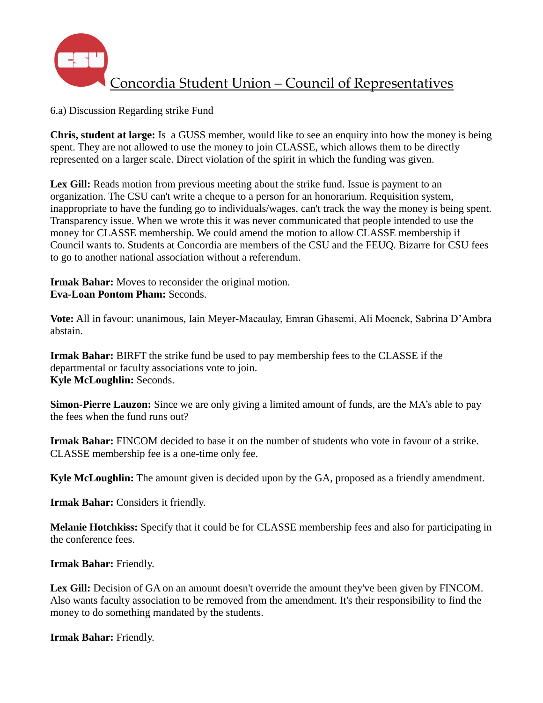

6.a) Discussion Regarding strike Fund

**Chris, student at large:** Is a GUSS member, would like to see an enquiry into how the money is being spent. They are not allowed to use the money to join CLASSE, which allows them to be directly represented on a larger scale. Direct violation of the spirit in which the funding was given.

Lex Gill: Reads motion from previous meeting about the strike fund. Issue is payment to an organization. The CSU can't write a cheque to a person for an honorarium. Requisition system, inappropriate to have the funding go to individuals/wages, can't track the way the money is being spent. Transparency issue. When we wrote this it was never communicated that people intended to use the money for CLASSE membership. We could amend the motion to allow CLASSE membership if Council wants to. Students at Concordia are members of the CSU and the FEUQ. Bizarre for CSU fees to go to another national association without a referendum.

**Irmak Bahar:** Moves to reconsider the original motion. **Eva-Loan Pontom Pham:** Seconds.

**Vote:** All in favour: unanimous, Iain Meyer-Macaulay, Emran Ghasemi, Ali Moenck, Sabrina D'Ambra abstain.

**Irmak Bahar:** BIRFT the strike fund be used to pay membership fees to the CLASSE if the departmental or faculty associations vote to join. **Kyle McLoughlin:** Seconds.

**Simon-Pierre Lauzon:** Since we are only giving a limited amount of funds, are the MA's able to pay the fees when the fund runs out?

**Irmak Bahar:** FINCOM decided to base it on the number of students who vote in favour of a strike. CLASSE membership fee is a one-time only fee.

**Kyle McLoughlin:** The amount given is decided upon by the GA, proposed as a friendly amendment.

**Irmak Bahar:** Considers it friendly.

**Melanie Hotchkiss:** Specify that it could be for CLASSE membership fees and also for participating in the conference fees.

**Irmak Bahar:** Friendly.

Lex Gill: Decision of GA on an amount doesn't override the amount they've been given by FINCOM. Also wants faculty association to be removed from the amendment. It's their responsibility to find the money to do something mandated by the students.

**Irmak Bahar:** Friendly.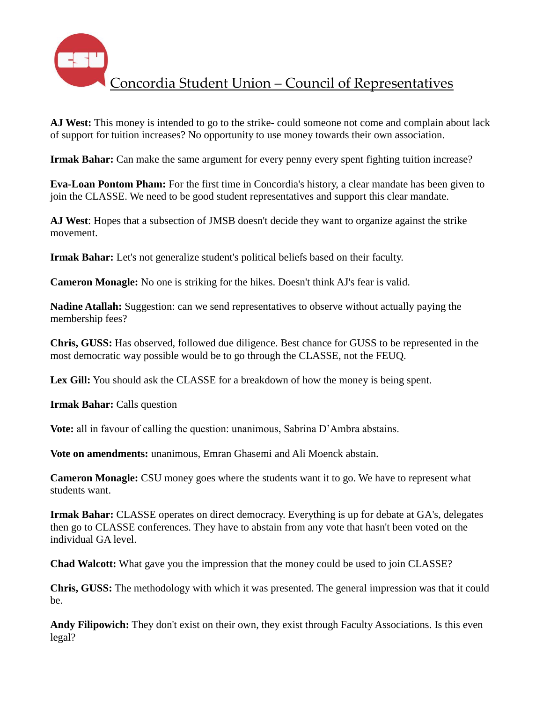

**AJ West:** This money is intended to go to the strike- could someone not come and complain about lack of support for tuition increases? No opportunity to use money towards their own association.

**Irmak Bahar:** Can make the same argument for every penny every spent fighting tuition increase?

**Eva-Loan Pontom Pham:** For the first time in Concordia's history, a clear mandate has been given to join the CLASSE. We need to be good student representatives and support this clear mandate.

**AJ West**: Hopes that a subsection of JMSB doesn't decide they want to organize against the strike movement.

**Irmak Bahar:** Let's not generalize student's political beliefs based on their faculty.

**Cameron Monagle:** No one is striking for the hikes. Doesn't think AJ's fear is valid.

**Nadine Atallah:** Suggestion: can we send representatives to observe without actually paying the membership fees?

**Chris, GUSS:** Has observed, followed due diligence. Best chance for GUSS to be represented in the most democratic way possible would be to go through the CLASSE, not the FEUQ.

Lex Gill: You should ask the CLASSE for a breakdown of how the money is being spent.

**Irmak Bahar:** Calls question

**Vote:** all in favour of calling the question: unanimous, Sabrina D'Ambra abstains.

**Vote on amendments:** unanimous, Emran Ghasemi and Ali Moenck abstain.

**Cameron Monagle:** CSU money goes where the students want it to go. We have to represent what students want.

**Irmak Bahar:** CLASSE operates on direct democracy. Everything is up for debate at GA's, delegates then go to CLASSE conferences. They have to abstain from any vote that hasn't been voted on the individual GA level.

**Chad Walcott:** What gave you the impression that the money could be used to join CLASSE?

**Chris, GUSS:** The methodology with which it was presented. The general impression was that it could be.

**Andy Filipowich:** They don't exist on their own, they exist through Faculty Associations. Is this even legal?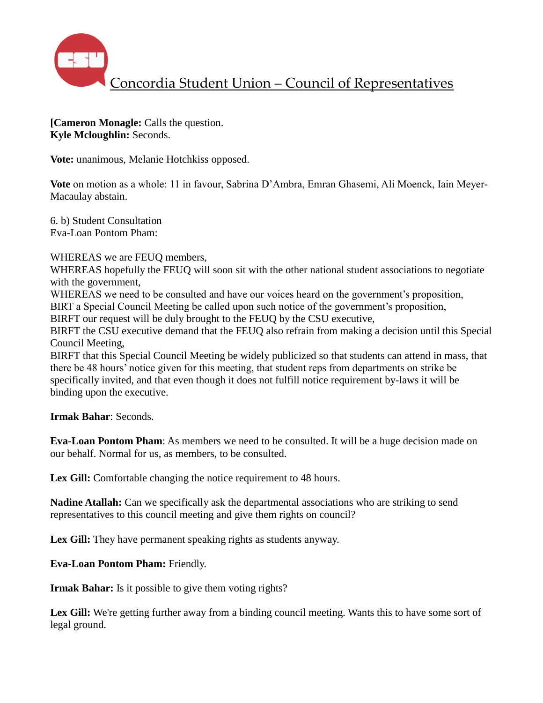

**[Cameron Monagle:** Calls the question. **Kyle Mcloughlin:** Seconds.

**Vote:** unanimous, Melanie Hotchkiss opposed.

**Vote** on motion as a whole: 11 in favour, Sabrina D'Ambra, Emran Ghasemi, Ali Moenck, Iain Meyer-Macaulay abstain.

6. b) Student Consultation Eva-Loan Pontom Pham:

WHEREAS we are FEUQ members,

WHEREAS hopefully the FEUO will soon sit with the other national student associations to negotiate with the government,

WHEREAS we need to be consulted and have our voices heard on the government's proposition,

BIRT a Special Council Meeting be called upon such notice of the government's proposition,

BIRFT our request will be duly brought to the FEUQ by the CSU executive,

BIRFT the CSU executive demand that the FEUQ also refrain from making a decision until this Special Council Meeting,

BIRFT that this Special Council Meeting be widely publicized so that students can attend in mass, that there be 48 hours' notice given for this meeting, that student reps from departments on strike be specifically invited, and that even though it does not fulfill notice requirement by-laws it will be binding upon the executive.

**Irmak Bahar**: Seconds.

**Eva-Loan Pontom Pham**: As members we need to be consulted. It will be a huge decision made on our behalf. Normal for us, as members, to be consulted.

Lex Gill: Comfortable changing the notice requirement to 48 hours.

**Nadine Atallah:** Can we specifically ask the departmental associations who are striking to send representatives to this council meeting and give them rights on council?

Lex Gill: They have permanent speaking rights as students anyway.

**Eva-Loan Pontom Pham:** Friendly.

**Irmak Bahar:** Is it possible to give them voting rights?

Lex Gill: We're getting further away from a binding council meeting. Wants this to have some sort of legal ground.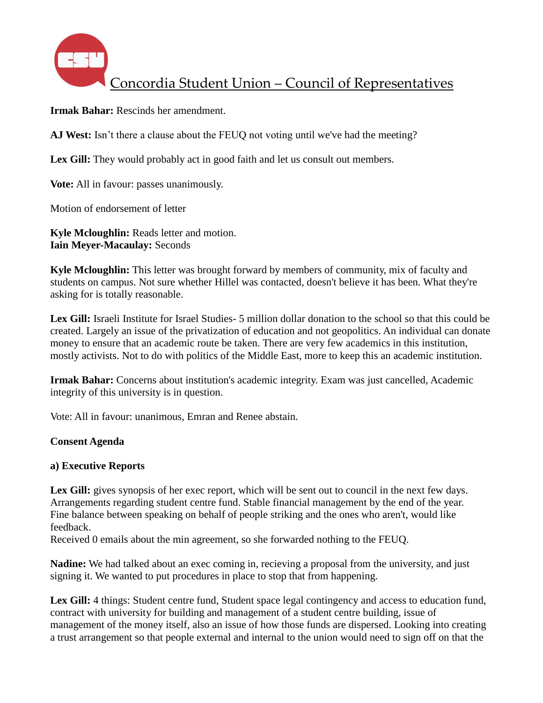

**Irmak Bahar:** Rescinds her amendment.

**AJ West:** Isn't there a clause about the FEUQ not voting until we've had the meeting?

Lex Gill: They would probably act in good faith and let us consult out members.

**Vote:** All in favour: passes unanimously.

Motion of endorsement of letter

**Kyle Mcloughlin:** Reads letter and motion. **Iain Meyer-Macaulay:** Seconds

**Kyle Mcloughlin:** This letter was brought forward by members of community, mix of faculty and students on campus. Not sure whether Hillel was contacted, doesn't believe it has been. What they're asking for is totally reasonable.

**Lex Gill:** Israeli Institute for Israel Studies- 5 million dollar donation to the school so that this could be created. Largely an issue of the privatization of education and not geopolitics. An individual can donate money to ensure that an academic route be taken. There are very few academics in this institution, mostly activists. Not to do with politics of the Middle East, more to keep this an academic institution.

**Irmak Bahar:** Concerns about institution's academic integrity. Exam was just cancelled, Academic integrity of this university is in question.

Vote: All in favour: unanimous, Emran and Renee abstain.

## **Consent Agenda**

## **a) Executive Reports**

Lex Gill: gives synopsis of her exec report, which will be sent out to council in the next few days. Arrangements regarding student centre fund. Stable financial management by the end of the year. Fine balance between speaking on behalf of people striking and the ones who aren't, would like feedback.

Received 0 emails about the min agreement, so she forwarded nothing to the FEUQ.

**Nadine:** We had talked about an exec coming in, recieving a proposal from the university, and just signing it. We wanted to put procedures in place to stop that from happening.

Lex Gill: 4 things: Student centre fund, Student space legal contingency and access to education fund, contract with university for building and management of a student centre building, issue of management of the money itself, also an issue of how those funds are dispersed. Looking into creating a trust arrangement so that people external and internal to the union would need to sign off on that the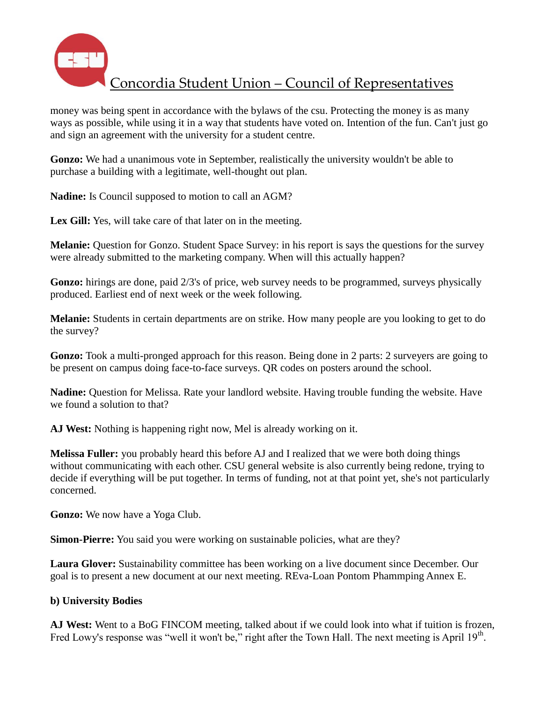

money was being spent in accordance with the bylaws of the csu. Protecting the money is as many ways as possible, while using it in a way that students have voted on. Intention of the fun. Can't just go and sign an agreement with the university for a student centre.

**Gonzo:** We had a unanimous vote in September, realistically the university wouldn't be able to purchase a building with a legitimate, well-thought out plan.

**Nadine:** Is Council supposed to motion to call an AGM?

Lex Gill: Yes, will take care of that later on in the meeting.

**Melanie:** Question for Gonzo. Student Space Survey: in his report is says the questions for the survey were already submitted to the marketing company. When will this actually happen?

**Gonzo:** hirings are done, paid 2/3's of price, web survey needs to be programmed, surveys physically produced. Earliest end of next week or the week following.

**Melanie:** Students in certain departments are on strike. How many people are you looking to get to do the survey?

**Gonzo:** Took a multi-pronged approach for this reason. Being done in 2 parts: 2 surveyers are going to be present on campus doing face-to-face surveys. QR codes on posters around the school.

**Nadine:** Question for Melissa. Rate your landlord website. Having trouble funding the website. Have we found a solution to that?

**AJ West:** Nothing is happening right now, Mel is already working on it.

**Melissa Fuller:** you probably heard this before AJ and I realized that we were both doing things without communicating with each other. CSU general website is also currently being redone, trying to decide if everything will be put together. In terms of funding, not at that point yet, she's not particularly concerned.

**Gonzo:** We now have a Yoga Club.

**Simon-Pierre:** You said you were working on sustainable policies, what are they?

**Laura Glover:** Sustainability committee has been working on a live document since December. Our goal is to present a new document at our next meeting. REva-Loan Pontom Phammping Annex E.

# **b) University Bodies**

**AJ West:** Went to a BoG FINCOM meeting, talked about if we could look into what if tuition is frozen, Fred Lowy's response was "well it won't be," right after the Town Hall. The next meeting is April  $19<sup>th</sup>$ .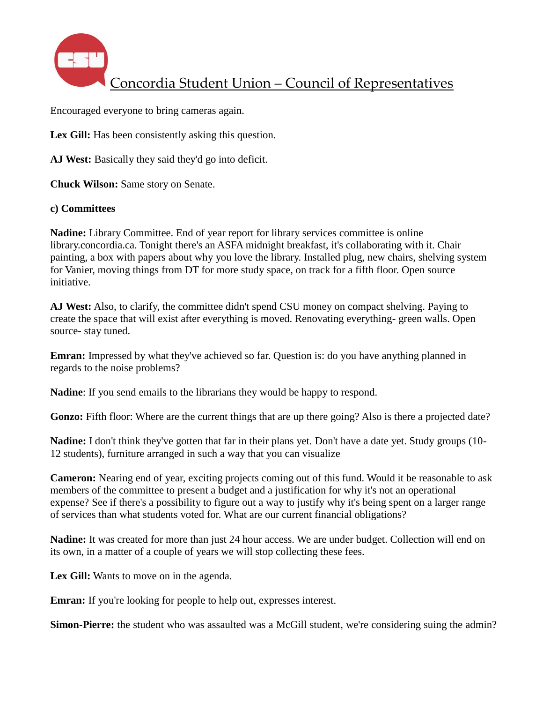

Encouraged everyone to bring cameras again.

Lex Gill: Has been consistently asking this question.

**AJ West:** Basically they said they'd go into deficit.

**Chuck Wilson:** Same story on Senate.

### **c) Committees**

**Nadine:** Library Committee. End of year report for library services committee is online library.concordia.ca. Tonight there's an ASFA midnight breakfast, it's collaborating with it. Chair painting, a box with papers about why you love the library. Installed plug, new chairs, shelving system for Vanier, moving things from DT for more study space, on track for a fifth floor. Open source initiative.

**AJ West:** Also, to clarify, the committee didn't spend CSU money on compact shelving. Paying to create the space that will exist after everything is moved. Renovating everything- green walls. Open source- stay tuned.

**Emran:** Impressed by what they've achieved so far. Question is: do you have anything planned in regards to the noise problems?

**Nadine**: If you send emails to the librarians they would be happy to respond.

**Gonzo:** Fifth floor: Where are the current things that are up there going? Also is there a projected date?

**Nadine:** I don't think they've gotten that far in their plans yet. Don't have a date yet. Study groups (10- 12 students), furniture arranged in such a way that you can visualize

**Cameron:** Nearing end of year, exciting projects coming out of this fund. Would it be reasonable to ask members of the committee to present a budget and a justification for why it's not an operational expense? See if there's a possibility to figure out a way to justify why it's being spent on a larger range of services than what students voted for. What are our current financial obligations?

**Nadine:** It was created for more than just 24 hour access. We are under budget. Collection will end on its own, in a matter of a couple of years we will stop collecting these fees.

Lex Gill: Wants to move on in the agenda.

**Emran:** If you're looking for people to help out, expresses interest.

**Simon-Pierre:** the student who was assaulted was a McGill student, we're considering suing the admin?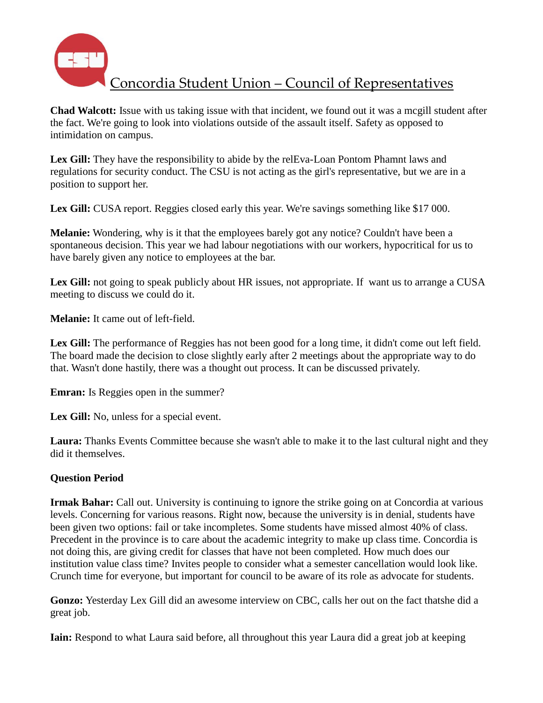

**Chad Walcott:** Issue with us taking issue with that incident, we found out it was a mcgill student after the fact. We're going to look into violations outside of the assault itself. Safety as opposed to intimidation on campus.

**Lex Gill:** They have the responsibility to abide by the relEva-Loan Pontom Phamnt laws and regulations for security conduct. The CSU is not acting as the girl's representative, but we are in a position to support her.

Lex Gill: CUSA report. Reggies closed early this year. We're savings something like \$17 000.

**Melanie:** Wondering, why is it that the employees barely got any notice? Couldn't have been a spontaneous decision. This year we had labour negotiations with our workers, hypocritical for us to have barely given any notice to employees at the bar.

Lex Gill: not going to speak publicly about HR issues, not appropriate. If want us to arrange a CUSA meeting to discuss we could do it.

**Melanie:** It came out of left-field.

Lex Gill: The performance of Reggies has not been good for a long time, it didn't come out left field. The board made the decision to close slightly early after 2 meetings about the appropriate way to do that. Wasn't done hastily, there was a thought out process. It can be discussed privately.

**Emran:** Is Reggies open in the summer?

Lex Gill: No, unless for a special event.

**Laura:** Thanks Events Committee because she wasn't able to make it to the last cultural night and they did it themselves.

# **Question Period**

**Irmak Bahar:** Call out. University is continuing to ignore the strike going on at Concordia at various levels. Concerning for various reasons. Right now, because the university is in denial, students have been given two options: fail or take incompletes. Some students have missed almost 40% of class. Precedent in the province is to care about the academic integrity to make up class time. Concordia is not doing this, are giving credit for classes that have not been completed. How much does our institution value class time? Invites people to consider what a semester cancellation would look like. Crunch time for everyone, but important for council to be aware of its role as advocate for students.

**Gonzo:** Yesterday Lex Gill did an awesome interview on CBC, calls her out on the fact thatshe did a great job.

**Iain:** Respond to what Laura said before, all throughout this year Laura did a great job at keeping